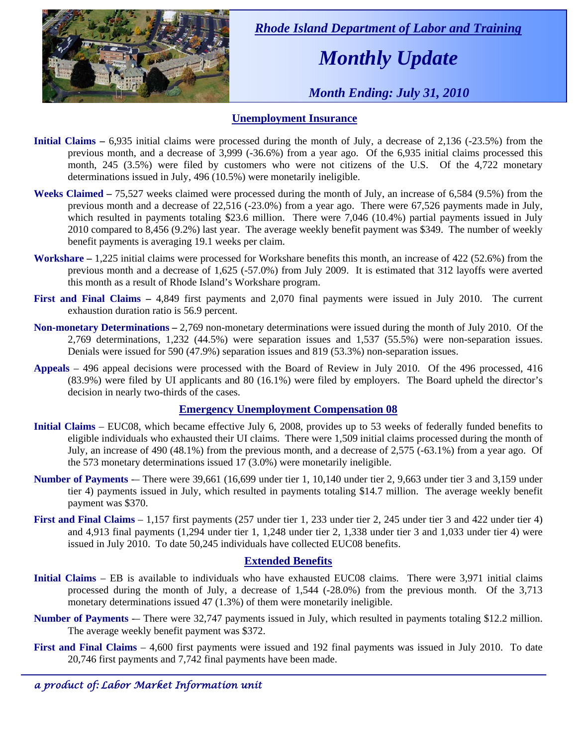

 *Rhode Island Department of Labor and Training* 

# *Monthly Update*

 *Month Ending: July 31, 2010* 

#### **Unemployment Insurance**

- **Initial Claims** 6,935 initial claims were processed during the month of July, a decrease of 2,136 (-23.5%) from the previous month, and a decrease of 3,999 (-36.6%) from a year ago. Of the 6,935 initial claims processed this month, 245 (3.5%) were filed by customers who were not citizens of the U.S. Of the 4,722 monetary determinations issued in July, 496 (10.5%) were monetarily ineligible.
- **Weeks Claimed** 75,527 weeks claimed were processed during the month of July, an increase of 6,584 (9.5%) from the previous month and a decrease of 22,516 (-23.0%) from a year ago. There were 67,526 payments made in July, which resulted in payments totaling \$23.6 million. There were 7,046 (10.4%) partial payments issued in July 2010 compared to 8,456 (9.2%) last year. The average weekly benefit payment was \$349. The number of weekly benefit payments is averaging 19.1 weeks per claim.
- **Workshare –** 1,225 initial claims were processed for Workshare benefits this month, an increase of 422 (52.6%) from the previous month and a decrease of 1,625 (-57.0%) from July 2009. It is estimated that 312 layoffs were averted this month as a result of Rhode Island's Workshare program.
- **First and Final Claims –** 4,849 first payments and 2,070 final payments were issued in July 2010. The current exhaustion duration ratio is 56.9 percent.
- **Non-monetary Determinations –** 2,769 non-monetary determinations were issued during the month of July 2010. Of the 2,769 determinations, 1,232 (44.5%) were separation issues and 1,537 (55.5%) were non-separation issues. Denials were issued for 590 (47.9%) separation issues and 819 (53.3%) non-separation issues.
- **Appeals** 496 appeal decisions were processed with the Board of Review in July 2010. Of the 496 processed, 416 (83.9%) were filed by UI applicants and 80 (16.1%) were filed by employers. The Board upheld the director's decision in nearly two-thirds of the cases.

#### **Emergency Unemployment Compensation 08**

- **Initial Claims**  EUC08, which became effective July 6, 2008, provides up to 53 weeks of federally funded benefits to eligible individuals who exhausted their UI claims. There were 1,509 initial claims processed during the month of July, an increase of 490 (48.1%) from the previous month, and a decrease of 2,575 (-63.1%) from a year ago. Of the 573 monetary determinations issued  $17(3.0\%)$  were monetarily ineligible.
- **Number of Payments** -– There were 39,661 (16,699 under tier 1, 10,140 under tier 2, 9,663 under tier 3 and 3,159 under tier 4) payments issued in July, which resulted in payments totaling \$14.7 million. The average weekly benefit payment was \$370.
- **First and Final Claims**  1,157 first payments (257 under tier 1, 233 under tier 2, 245 under tier 3 and 422 under tier 4) and 4,913 final payments (1,294 under tier 1, 1,248 under tier 2, 1,338 under tier 3 and 1,033 under tier 4) were issued in July 2010. To date 50,245 individuals have collected EUC08 benefits.

#### **Extended Benefits**

- **Initial Claims**  EB is available to individuals who have exhausted EUC08 claims. There were 3,971 initial claims processed during the month of July, a decrease of 1,544 (-28.0%) from the previous month. Of the 3,713 monetary determinations issued 47 (1.3%) of them were monetarily ineligible.
- **Number of Payments** -– There were 32,747 payments issued in July, which resulted in payments totaling \$12.2 million. The average weekly benefit payment was \$372.
- **First and Final Claims**  4,600 first payments were issued and 192 final payments was issued in July 2010. To date 20,746 first payments and 7,742 final payments have been made.